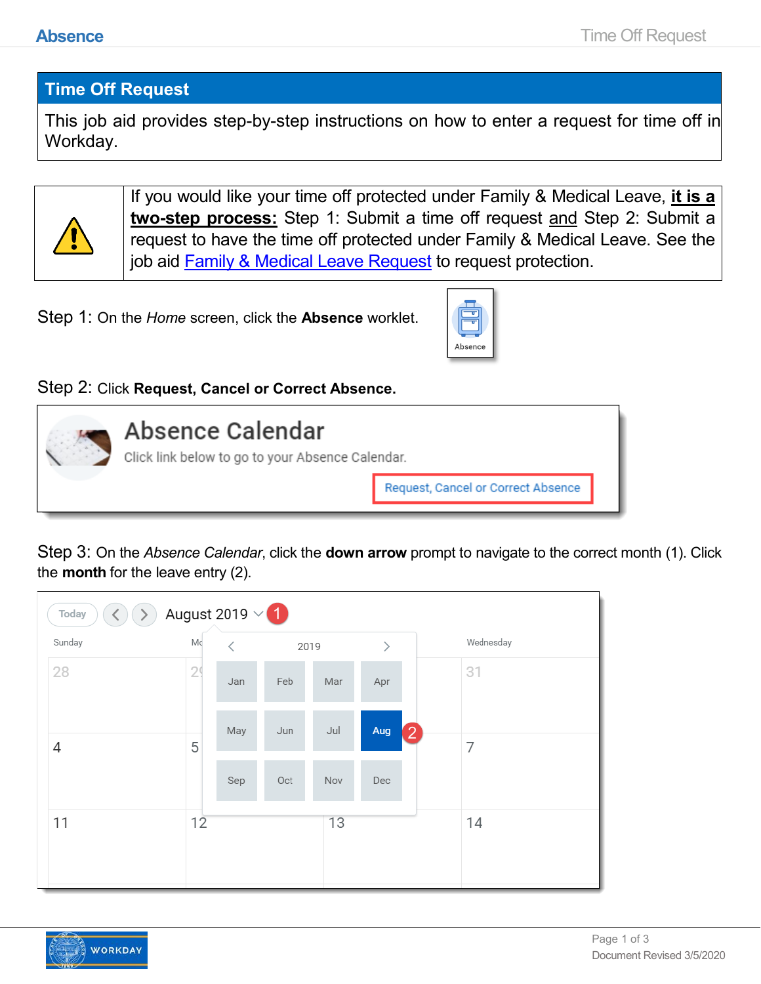## **Time Off Request**

This job aid provides step-by-step instructions on how to enter a request for time off in Workday.



If you would like your time off protected under Family & Medical Leave, **it is a two-step process:** Step 1: Submit a time off request and Step 2: Submit a request to have the time off protected under Family & Medical Leave. See the job aid [Family & Medical Leave Request](https://www.oregon.gov/das/HR/Documents/Absence_Family%20%20Medical%20Leave%20Request.pdf) to request protection.

Step 1: On the *Home* screen, click the **Absence** worklet.



## Step 2: Click **Request, Cancel or Correct Absence.**



Step 3: On the *Absence Calendar*, click the **down arrow** prompt to navigate to the correct month (1). Click the **month** for the leave entry (2).

| August 2019 $\times$ 1<br>Today<br>$\left\langle \cdot \right\rangle$ |    |           |     |                              |     |                   |           |  |
|-----------------------------------------------------------------------|----|-----------|-----|------------------------------|-----|-------------------|-----------|--|
| Sunday                                                                | Mc | ₹<br>2019 |     | $\left\langle \right\rangle$ |     |                   | Wednesday |  |
| 28                                                                    | 29 | Jan       | Feb | Mar                          | Apr |                   | 31        |  |
| 4                                                                     | 5  | May       | Jun | Jul                          | Aug | $\left[ 2\right]$ | 7         |  |
|                                                                       |    | Sep       | Oct | Nov                          | Dec |                   |           |  |
| 11                                                                    | 12 |           |     | 13                           |     |                   | 14        |  |
|                                                                       |    |           |     |                              |     |                   |           |  |

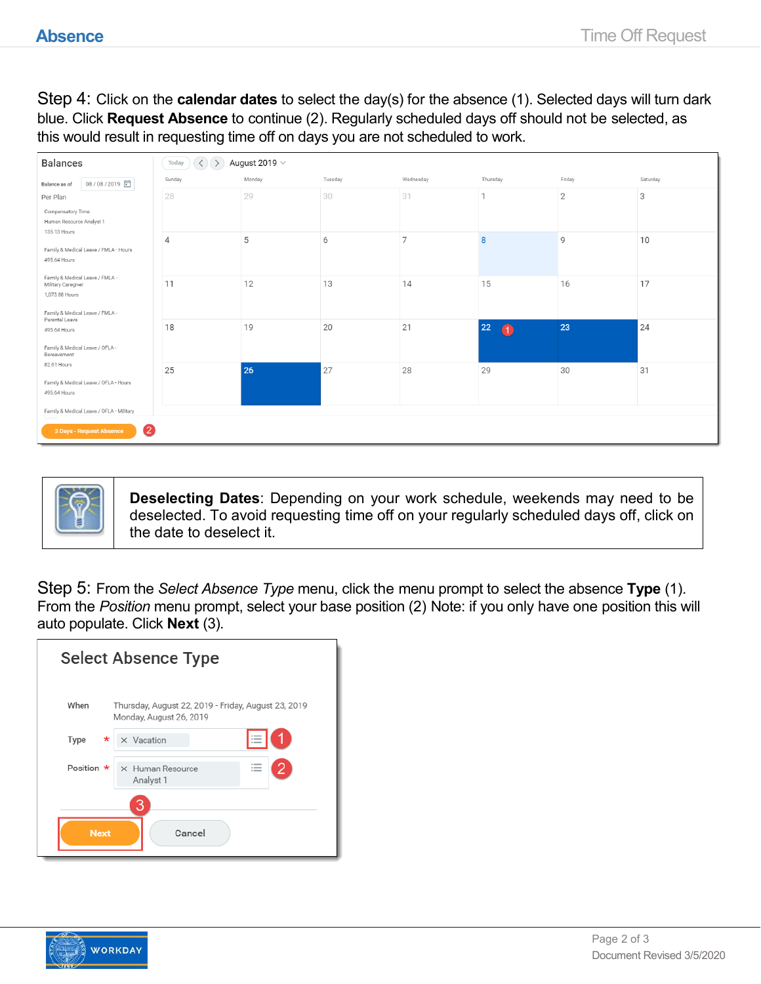Step 4: Click on the **calendar dates** to select the day(s) for the absence (1). Selected days will turn dark blue. Click **Request Absence** to continue (2). Regularly scheduled days off should not be selected, as this would result in requesting time off on days you are not scheduled to work.

| <b>Balances</b>                                                                                            | $\mathbb{Q}$<br>August 2019 $\vee$<br>Today |        |         |                |                  |                |          |
|------------------------------------------------------------------------------------------------------------|---------------------------------------------|--------|---------|----------------|------------------|----------------|----------|
| 08/08/2019 日<br>Balance as of                                                                              | Sunday                                      | Monday | Tuesday | Wednesday      | Thursday         | Friday         | Saturday |
| Per Plan                                                                                                   | 28                                          | 29     | 30      | 31             | $\mathbf{1}$     | $\overline{2}$ | 3        |
| Compensatory Time<br>Human Resource Analyst 1<br>135.13 Hours                                              |                                             |        |         |                |                  |                |          |
| Family & Medical Leave / FMLA - Hours<br>495.64 Hours                                                      | $\overline{4}$                              | 5      | 6       | $\overline{7}$ | 8                | $\mathcal{Q}$  | 10       |
| Family & Medical Leave / FMLA -<br>Military Caregiver<br>1,073,88 Hours<br>Family & Medical Leave / FMLA - | 11                                          | 12     | 13      | 14             | 15               | 16             | 17       |
| Parental Leave<br>495.64 Hours<br>Family & Medical Leave / OFLA -<br>Bereavement                           | 18                                          | 19     | 20      | 21             | 22<br>$\bigcirc$ | 23             | 24       |
| 82.61 Hours<br>Family & Medical Leave / OFLA - Hours                                                       | 25                                          | 26     | 27      | 28             | 29               | 30             | 31       |
| 495.64 Hours                                                                                               |                                             |        |         |                |                  |                |          |
| Family & Medical Leave / OFLA - Military                                                                   |                                             |        |         |                |                  |                |          |
| 2<br>3 Days - Request Absence                                                                              |                                             |        |         |                |                  |                |          |



**Deselecting Dates**: Depending on your work schedule, weekends may need to be deselected. To avoid requesting time off on your regularly scheduled days off, click on the date to deselect it.

Step 5: From the *Select Absence Type* menu, click the menu prompt to select the absence **Type** (1). From the *Position* menu prompt, select your base position (2) Note: if you only have one position this will auto populate. Click **Next** (3).

| <b>Select Absence Type</b> |                                                                                |  |  |  |  |  |  |
|----------------------------|--------------------------------------------------------------------------------|--|--|--|--|--|--|
| When                       | Thursday, August 22, 2019 - Friday, August 23, 2019<br>Monday, August 26, 2019 |  |  |  |  |  |  |
| Type<br>*                  | 這<br>X Vacation                                                                |  |  |  |  |  |  |
| Position $\star$           | X Human Resource<br>$\overline{\phantom{a}}$<br>Analyst 1                      |  |  |  |  |  |  |
| З<br>Cancel<br><b>Next</b> |                                                                                |  |  |  |  |  |  |